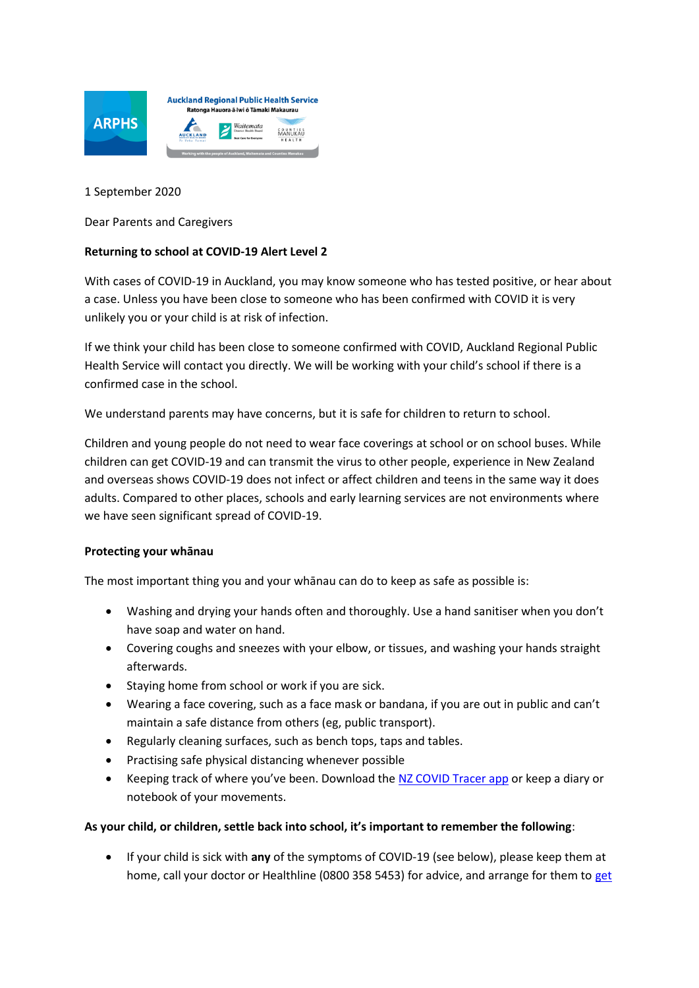

1 September 2020

Dear Parents and Caregivers

## **Returning to school at COVID-19 Alert Level 2**

With cases of COVID-19 in Auckland, you may know someone who has tested positive, or hear about a case. Unless you have been close to someone who has been confirmed with COVID it is very unlikely you or your child is at risk of infection.

If we think your child has been close to someone confirmed with COVID, Auckland Regional Public Health Service will contact you directly. We will be working with your child's school if there is a confirmed case in the school.

We understand parents may have concerns, but it is safe for children to return to school.

Children and young people do not need to wear face coverings at school or on school buses. While children can get COVID-19 and can transmit the virus to other people, experience in New Zealand and overseas shows COVID-19 does not infect or affect children and teens in the same way it does adults. Compared to other places, schools and early learning services are not environments where we have seen significant spread of COVID-19.

## **Protecting your whānau**

The most important thing you and your whānau can do to keep as safe as possible is:

- Washing and drying your hands often and thoroughly. Use a hand sanitiser when you don't have soap and water on hand.
- Covering coughs and sneezes with your elbow, or tissues, and washing your hands straight afterwards.
- Staying home from school or work if you are sick.
- Wearing a face covering, such as a face mask or bandana, if you are out in public and can't maintain a safe distance from others (eg, public transport).
- Regularly cleaning surfaces, such as bench tops, taps and tables.
- Practising safe physical distancing whenever possible
- EXEEPING track of where you've been. Download the [NZ COVID Tracer app](https://covid19.govt.nz/health-and-wellbeing/protect-yourself-and-others/keep-track-of-where-youve-been/) or keep a diary or notebook of your movements.

## **As your child, or children, settle back into school, it's important to remember the following**:

 If your child is sick with **any** of the symptoms of COVID-19 (see below), please keep them at home, call your doctor or Healthline (0800 358 5453) for advice, and arrange for them to get